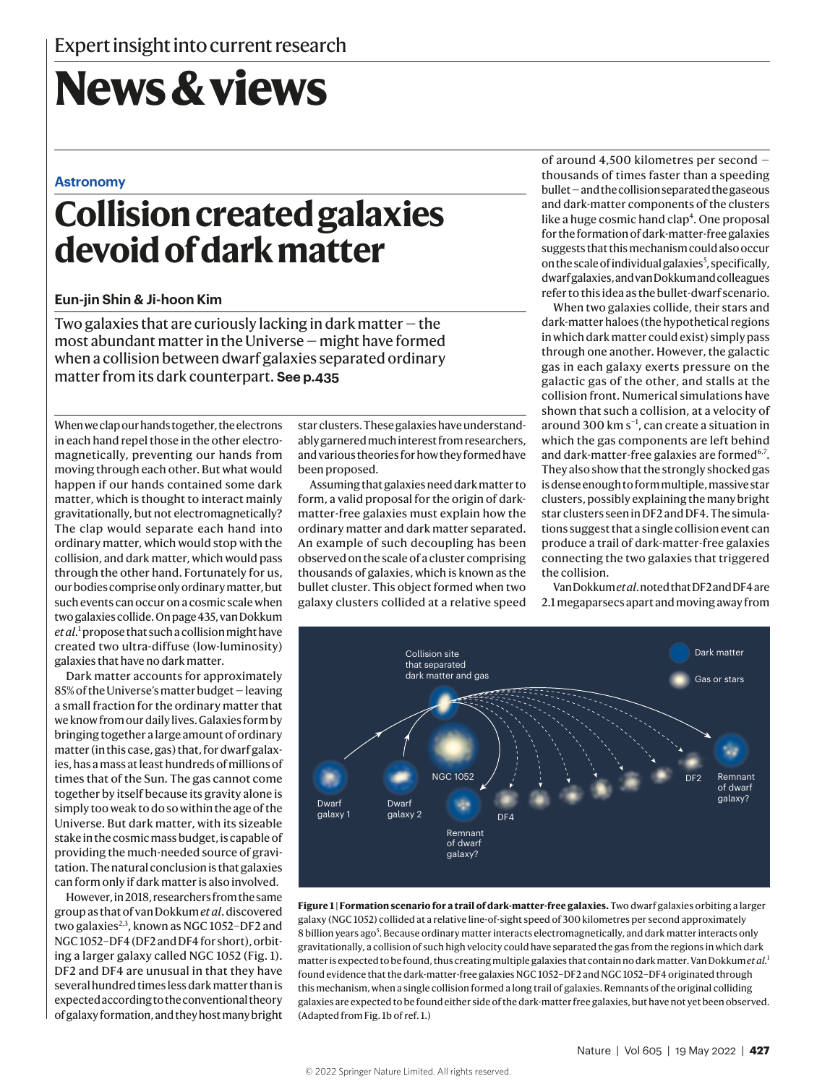# **News & views**

### **Astronomy**

# **Collision created galaxies devoid of dark matter**

## **Eun-jin Shin & Ji-hoon Kim**

Two galaxies that are curiously lacking in dark matter  $-$  the most abundant matter in the Universe — might have formed when a collision between dwarf galaxies separated ordinary matter from its dark counterpart. **See p.435**

When we clap our hands together, the electrons in each hand repel those in the other electromagnetically, preventing our hands from moving through each other. But what would happen if our hands contained some dark matter, which is thought to interact mainly gravitationally, but not electromagnetically? The clap would separate each hand into ordinary matter, which would stop with the collision, and dark matter, which would pass through the other hand. Fortunately for us, our bodies comprise only ordinary matter, but such events can occur on a cosmic scale when two galaxies collide. On page 435, van Dokkum *et al*. 1 propose that such a collision might have created two ultra-diffuse (low-luminosity) galaxies that have no dark matter.

Dark matter accounts for approximately 85% of the Universe's matter budget — leaving a small fraction for the ordinary matter that we know from our daily lives. Galaxies form by bringing together a large amount of ordinary matter (in this case, gas) that, for dwarf galaxies, has a mass at least hundreds of millions of times that of the Sun. The gas cannot come together by itself because its gravity alone is simply too weak to do so within the age of the Universe. But dark matter, with its sizeable stake in the cosmic mass budget, is capable of providing the much-needed source of gravitation. The natural conclusion is that galaxies can form only if dark matter is also involved.

However, in 2018, researchers from the same group as that of van Dokkum *et al*. discovered two galaxies<sup>2,3</sup>, known as NGC 1052-DF2 and NGC 1052–DF4 (DF2 and DF4 for short), orbiting a larger galaxy called NGC 1052 (Fig. 1). DF2 and DF4 are unusual in that they have several hundred times less dark matter than is expected according to the conventional theory of galaxy formation, and they host many bright

star clusters. These galaxies have understandably garnered much interest from researchers, and various theories for how they formed have been proposed.

Assuming that galaxies need dark matter to form, a valid proposal for the origin of darkmatter-free galaxies must explain how the ordinary matter and dark matter separated. An example of such decoupling has been observed on the scale of a cluster comprising thousands of galaxies, which is known as the bullet cluster. This object formed when two galaxy clusters collided at a relative speed of around 4,500 kilometres per second thousands of times faster than a speeding bullet — and the collision separated the gaseous and dark-matter components of the clusters like a huge cosmic hand clap<sup>4</sup>. One proposal for the formation of dark-matter-free galaxies suggests that this mechanism could also occur on the scale of individual galaxies<sup>5</sup>, specifically, dwarf galaxies, and van Dokkum and colleagues refer to this idea as the bullet-dwarf scenario.

When two galaxies collide, their stars and dark-matter haloes (the hypothetical regions in which dark matter could exist) simply pass through one another. However, the galactic gas in each galaxy exerts pressure on the galactic gas of the other, and stalls at the collision front. Numerical simulations have shown that such a collision, at a velocity of around 300  $km s^{-1}$ , can create a situation in which the gas components are left behind and dark-matter-free galaxies are formed<sup>6,7</sup>. They also show that the strongly shocked gas is dense enough to form multiple, massive star clusters, possibly explaining the many bright star clusters seen in DF2 and DF4. The simulations suggest that a single collision event can produce a trail of dark-matter-free galaxies b connecting the two galaxies that triggered the collision.

Van Dokkum *et al*. noted that DF2 and DF4 are 2.1 megaparsecs apart and moving away from



**Figure 1 | Formation scenario for a trail of dark-matter-free galaxies.** Two dwarf galaxies orbiting a larger galaxy (NGC 1052) collided at a relative line-of-sight speed of 300 kilometres per second approximately 8 billion years ago<sup>5</sup>. Because ordinary matter interacts electromagnetically, and dark matter interacts only gravitationally, a collision of such high velocity could have separated the gas from the regions in which dark matter is expected to be found, thus creating multiple galaxies that contain no dark matter. Van Dokkum *et al.*<sup>1</sup> found evidence that the dark-matter-free galaxies NGC 1052–DF2 and NGC 1052–DF4 originated through this mechanism, when a single collision formed a long trail of galaxies. Remnants of the original colliding galaxies are expected to be found either side of the dark-matter free galaxies, but have not yet been observed. (Adapted from Fig. 1b of ref. 1.)